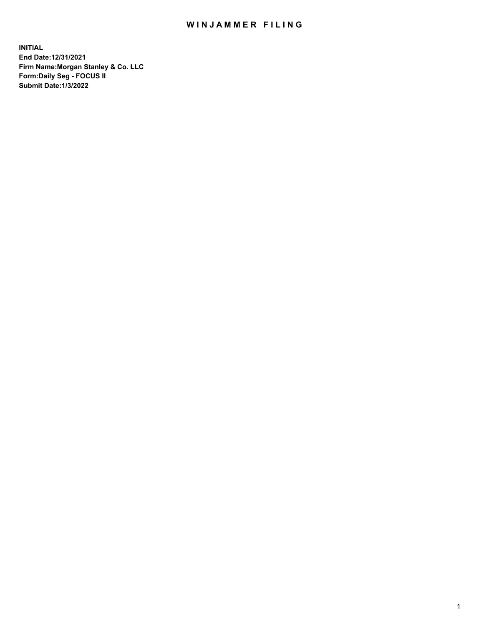## WIN JAMMER FILING

**INITIAL End Date:12/31/2021 Firm Name:Morgan Stanley & Co. LLC Form:Daily Seg - FOCUS II Submit Date:1/3/2022**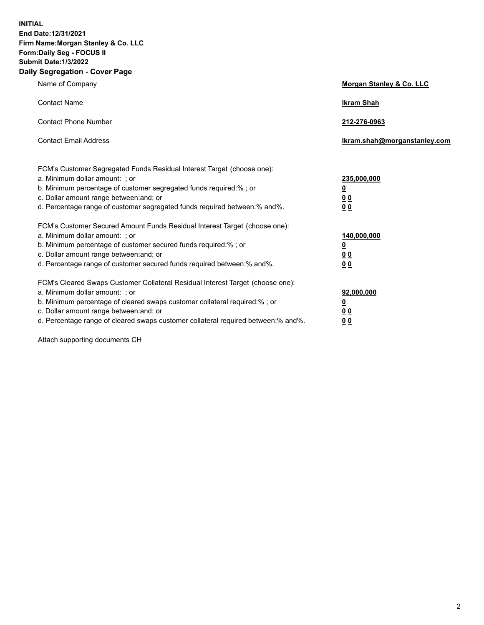**INITIAL End Date:12/31/2021 Firm Name:Morgan Stanley & Co. LLC Form:Daily Seg - FOCUS II Submit Date:1/3/2022 Daily Segregation - Cover Page**

| Name of Company                                                                                                                                                                                                                                                                                                                | <b>Morgan Stanley &amp; Co. LLC</b>                    |
|--------------------------------------------------------------------------------------------------------------------------------------------------------------------------------------------------------------------------------------------------------------------------------------------------------------------------------|--------------------------------------------------------|
| <b>Contact Name</b>                                                                                                                                                                                                                                                                                                            | <b>Ikram Shah</b>                                      |
| <b>Contact Phone Number</b>                                                                                                                                                                                                                                                                                                    | 212-276-0963                                           |
| <b>Contact Email Address</b>                                                                                                                                                                                                                                                                                                   | Ikram.shah@morganstanley.com                           |
| FCM's Customer Segregated Funds Residual Interest Target (choose one):<br>a. Minimum dollar amount: ; or<br>b. Minimum percentage of customer segregated funds required:% ; or<br>c. Dollar amount range between: and; or<br>d. Percentage range of customer segregated funds required between:% and%.                         | 235,000,000<br><u>0</u><br>0 Q<br>0 Q                  |
| FCM's Customer Secured Amount Funds Residual Interest Target (choose one):<br>a. Minimum dollar amount: ; or<br>b. Minimum percentage of customer secured funds required:% ; or<br>c. Dollar amount range between: and; or<br>d. Percentage range of customer secured funds required between: % and %.                         | 140,000,000<br><u>0</u><br><u>00</u><br>0 <sub>0</sub> |
| FCM's Cleared Swaps Customer Collateral Residual Interest Target (choose one):<br>a. Minimum dollar amount: ; or<br>b. Minimum percentage of cleared swaps customer collateral required:% ; or<br>c. Dollar amount range between: and; or<br>d. Percentage range of cleared swaps customer collateral required between:% and%. | 92,000,000<br><u>0</u><br>0 Q<br>00                    |

Attach supporting documents CH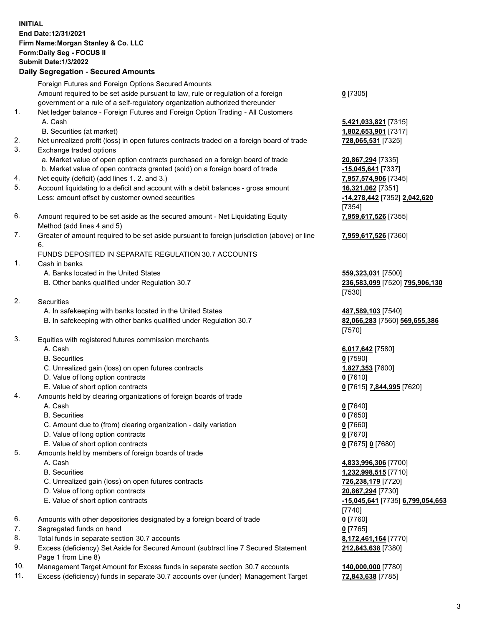|    | <b>INITIAL</b><br>End Date: 12/31/2021<br>Firm Name: Morgan Stanley & Co. LLC<br>Form: Daily Seg - FOCUS II<br><b>Submit Date: 1/3/2022</b><br><b>Daily Segregation - Secured Amounts</b> |                                              |
|----|-------------------------------------------------------------------------------------------------------------------------------------------------------------------------------------------|----------------------------------------------|
|    | Foreign Futures and Foreign Options Secured Amounts                                                                                                                                       |                                              |
|    | Amount required to be set aside pursuant to law, rule or regulation of a foreign                                                                                                          | $0$ [7305]                                   |
| 1. | government or a rule of a self-regulatory organization authorized thereunder<br>Net ledger balance - Foreign Futures and Foreign Option Trading - All Customers                           |                                              |
|    | A. Cash                                                                                                                                                                                   | 5,421,033,821 [7315]                         |
|    | B. Securities (at market)                                                                                                                                                                 | 1,802,653,901 [7317]                         |
| 2. | Net unrealized profit (loss) in open futures contracts traded on a foreign board of trade                                                                                                 | 728,065,531 [7325]                           |
| 3. | Exchange traded options                                                                                                                                                                   |                                              |
|    | a. Market value of open option contracts purchased on a foreign board of trade                                                                                                            | 20,867,294 [7335]                            |
| 4. | b. Market value of open contracts granted (sold) on a foreign board of trade<br>Net equity (deficit) (add lines 1. 2. and 3.)                                                             | $-15,045,641$ [7337]<br>7,957,574,906 [7345] |
| 5. | Account liquidating to a deficit and account with a debit balances - gross amount                                                                                                         | 16,321,062 [7351]                            |
|    | Less: amount offset by customer owned securities                                                                                                                                          | -14,278,442 [7352] 2,042,620                 |
|    |                                                                                                                                                                                           | [7354]                                       |
| 6. | Amount required to be set aside as the secured amount - Net Liquidating Equity                                                                                                            | 7,959,617,526 [7355]                         |
| 7. | Method (add lines 4 and 5)<br>Greater of amount required to be set aside pursuant to foreign jurisdiction (above) or line                                                                 | 7,959,617,526 [7360]                         |
|    | 6.                                                                                                                                                                                        |                                              |
|    | FUNDS DEPOSITED IN SEPARATE REGULATION 30.7 ACCOUNTS                                                                                                                                      |                                              |
| 1. | Cash in banks                                                                                                                                                                             |                                              |
|    | A. Banks located in the United States                                                                                                                                                     | 559,323,031 [7500]                           |
|    | B. Other banks qualified under Regulation 30.7                                                                                                                                            | 236,583,099 [7520] 795,906,130               |
| 2. | Securities                                                                                                                                                                                | [7530]                                       |
|    | A. In safekeeping with banks located in the United States                                                                                                                                 | 487,589,103 [7540]                           |
|    | B. In safekeeping with other banks qualified under Regulation 30.7                                                                                                                        | 82,066,283 [7560] 569,655,386                |
|    |                                                                                                                                                                                           | [7570]                                       |
| 3. | Equities with registered futures commission merchants                                                                                                                                     |                                              |
|    | A. Cash                                                                                                                                                                                   | 6,017,642 [7580]                             |
|    | <b>B.</b> Securities                                                                                                                                                                      | $0$ [7590]                                   |
|    | C. Unrealized gain (loss) on open futures contracts<br>D. Value of long option contracts                                                                                                  | 1,827,353 [7600]<br><u>0</u> [7610]          |
|    | E. Value of short option contracts                                                                                                                                                        | 0 [7615] 7,844,995 [7620]                    |
| 4. | Amounts held by clearing organizations of foreign boards of trade                                                                                                                         |                                              |
|    | A. Cash                                                                                                                                                                                   | $0$ [7640]                                   |
|    | <b>B.</b> Securities                                                                                                                                                                      | $0$ [7650]                                   |
|    | C. Amount due to (from) clearing organization - daily variation                                                                                                                           | $0$ [7660]                                   |
|    | D. Value of long option contracts<br>E. Value of short option contracts                                                                                                                   | $0$ [7670]                                   |
| 5. | Amounts held by members of foreign boards of trade                                                                                                                                        | 0 [7675] 0 [7680]                            |
|    | A. Cash                                                                                                                                                                                   | 4,833,996,306 [7700]                         |
|    | <b>B.</b> Securities                                                                                                                                                                      | 1,232,998,515 [7710]                         |
|    | C. Unrealized gain (loss) on open futures contracts                                                                                                                                       | 726,238,179 [7720]                           |
|    | D. Value of long option contracts                                                                                                                                                         | 20,867,294 [7730]                            |
|    | E. Value of short option contracts                                                                                                                                                        | <u>-15,045,641</u> [7735] 6,799,054,653      |
| 6. |                                                                                                                                                                                           | [7740]                                       |
| 7. | Amounts with other depositories designated by a foreign board of trade<br>Segregated funds on hand                                                                                        | $0$ [7760]<br>$0$ [7765]                     |
| 8. | Total funds in separate section 30.7 accounts                                                                                                                                             | 8,172,461,164 [7770]                         |
| 9. | Excess (deficiency) Set Aside for Secured Amount (subtract line 7 Secured Statement                                                                                                       | 212,843,638 [7380]                           |

- 9. Excess (deficiency) Set Aside for Secured Amount (subtract line 7 Secured Statement Page 1 from Line 8)
- 10. Management Target Amount for Excess funds in separate section 30.7 accounts **140,000,000** [7780]
- 11. Excess (deficiency) funds in separate 30.7 accounts over (under) Management Target **72,843,638** [7785]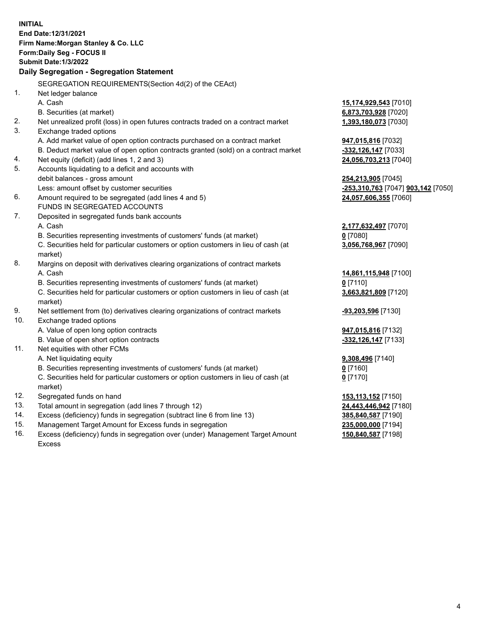|     | <b>INITIAL</b>                                                                                 |                                    |
|-----|------------------------------------------------------------------------------------------------|------------------------------------|
|     | End Date:12/31/2021                                                                            |                                    |
|     | Firm Name: Morgan Stanley & Co. LLC                                                            |                                    |
|     | <b>Form:Daily Seg - FOCUS II</b>                                                               |                                    |
|     | <b>Submit Date: 1/3/2022</b>                                                                   |                                    |
|     | Daily Segregation - Segregation Statement                                                      |                                    |
|     | SEGREGATION REQUIREMENTS(Section 4d(2) of the CEAct)                                           |                                    |
| 1.  | Net ledger balance                                                                             |                                    |
|     | A. Cash                                                                                        | 15,174,929,543 [7010]              |
|     | B. Securities (at market)                                                                      | 6,873,703,928 [7020]               |
| 2.  | Net unrealized profit (loss) in open futures contracts traded on a contract market             | 1,393,180,073 [7030]               |
| 3.  | Exchange traded options                                                                        |                                    |
|     | A. Add market value of open option contracts purchased on a contract market                    |                                    |
|     |                                                                                                | 947,015,816 [7032]                 |
| 4.  | B. Deduct market value of open option contracts granted (sold) on a contract market            | -332,126,147 [7033]                |
| 5.  | Net equity (deficit) (add lines 1, 2 and 3)                                                    | 24,056,703,213 [7040]              |
|     | Accounts liquidating to a deficit and accounts with                                            |                                    |
|     | debit balances - gross amount<br>Less: amount offset by customer securities                    | 254,213,905 [7045]                 |
| 6.  |                                                                                                | -253,310,763 [7047] 903,142 [7050] |
|     | Amount required to be segregated (add lines 4 and 5)                                           | 24,057,606,355 [7060]              |
| 7.  | FUNDS IN SEGREGATED ACCOUNTS                                                                   |                                    |
|     | Deposited in segregated funds bank accounts                                                    |                                    |
|     | A. Cash                                                                                        | 2,177,632,497 [7070]               |
|     | B. Securities representing investments of customers' funds (at market)                         | $0$ [7080]                         |
|     | C. Securities held for particular customers or option customers in lieu of cash (at<br>market) | 3,056,768,967 [7090]               |
| 8.  | Margins on deposit with derivatives clearing organizations of contract markets                 |                                    |
|     | A. Cash                                                                                        | 14,861,115,948 [7100]              |
|     | B. Securities representing investments of customers' funds (at market)                         | $0$ [7110]                         |
|     | C. Securities held for particular customers or option customers in lieu of cash (at<br>market) | 3,663,821,809 [7120]               |
| 9.  | Net settlement from (to) derivatives clearing organizations of contract markets                | -93,203,596 [7130]                 |
| 10. | Exchange traded options                                                                        |                                    |
|     | A. Value of open long option contracts                                                         | <b>947,015,816</b> [7132]          |
|     | B. Value of open short option contracts                                                        | -332,126,147 [7133]                |
| 11. | Net equities with other FCMs                                                                   |                                    |
|     | A. Net liquidating equity                                                                      | 9,308,496 [7140]                   |
|     | B. Securities representing investments of customers' funds (at market)                         | $0$ [7160]                         |
|     | C. Securities held for particular customers or option customers in lieu of cash (at            | $0$ [7170]                         |
|     | market)                                                                                        |                                    |
| 12. | Segregated funds on hand                                                                       | <b>153,113,152</b> [7150]          |
| 13. | Total amount in segregation (add lines 7 through 12)                                           | <u>24,443,446,942</u> [7180]       |
| 14. | Excess (deficiency) funds in segregation (subtract line 6 from line 13)                        | 385,840,587 [7190]                 |
| 15. | Management Target Amount for Excess funds in segregation                                       | 235,000,000 [7194]                 |
|     |                                                                                                |                                    |

16. Excess (deficiency) funds in segregation over (under) Management Target Amount Excess

**150,840,587** [7198]